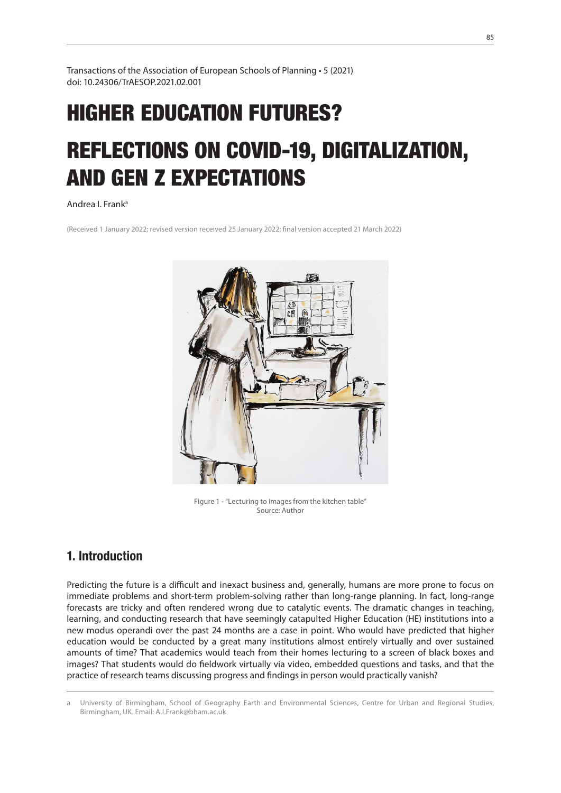Transactions of the Association of European Schools of Planning • 5 (2021) doi: 10.24306/TrAESOP.2021.02.001

# HIGHER EDUCATION FUTURES? REFLECTIONS ON COVID-19, DIGITALIZATION, AND GEN Z EXPECTATIONS

## Andrea I. Franka1

(Received 1 January 2022; revised version received 25 January 2022; final version accepted 21 March 2022)



Figure 1 - "Lecturing to images from the kitchen table" Source: Author

# 1. Introduction

Predicting the future is a difficult and inexact business and, generally, humans are more prone to focus on immediate problems and short-term problem-solving rather than long-range planning. In fact, long-range forecasts are tricky and often rendered wrong due to catalytic events. The dramatic changes in teaching, learning, and conducting research that have seemingly catapulted Higher Education (HE) institutions into a new modus operandi over the past 24 months are a case in point. Who would have predicted that higher education would be conducted by a great many institutions almost entirely virtually and over sustained amounts of time? That academics would teach from their homes lecturing to a screen of black boxes and images? That students would do fieldwork virtually via video, embedded questions and tasks, and that the practice of research teams discussing progress and findings in person would practically vanish?

University of Birmingham, School of Geography Earth and Environmental Sciences, Centre for Urban and Regional Studies, Birmingham, UK. Email: A.I.Frank@bham.ac.uk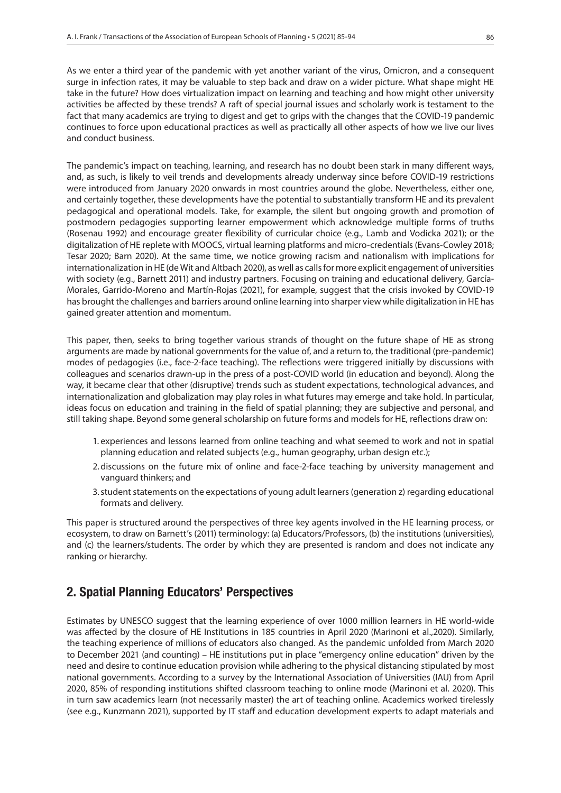As we enter a third year of the pandemic with yet another variant of the virus, Omicron, and a consequent surge in infection rates, it may be valuable to step back and draw on a wider picture. What shape might HE take in the future? How does virtualization impact on learning and teaching and how might other university activities be affected by these trends? A raft of special journal issues and scholarly work is testament to the fact that many academics are trying to digest and get to grips with the changes that the COVID-19 pandemic continues to force upon educational practices as well as practically all other aspects of how we live our lives and conduct business.

The pandemic's impact on teaching, learning, and research has no doubt been stark in many different ways, and, as such, is likely to veil trends and developments already underway since before COVID-19 restrictions were introduced from January 2020 onwards in most countries around the globe. Nevertheless, either one, and certainly together, these developments have the potential to substantially transform HE and its prevalent pedagogical and operational models. Take, for example, the silent but ongoing growth and promotion of postmodern pedagogies supporting learner empowerment which acknowledge multiple forms of truths (Rosenau 1992) and encourage greater flexibility of curricular choice (e.g., Lamb and Vodicka 2021); or the digitalization of HE replete with MOOCS, virtual learning platforms and micro-credentials (Evans-Cowley 2018; Tesar 2020; Barn 2020). At the same time, we notice growing racism and nationalism with implications for internationalization in HE (de Wit and Altbach 2020), as well as calls for more explicit engagement of universities with society (e.g., Barnett 2011) and industry partners. Focusing on training and educational delivery, García-Morales, Garrido-Moreno and Martín-Rojas (2021), for example, suggest that the crisis invoked by COVID-19 has brought the challenges and barriers around online learning into sharper view while digitalization in HE has gained greater attention and momentum.

This paper, then, seeks to bring together various strands of thought on the future shape of HE as strong arguments are made by national governments for the value of, and a return to, the traditional (pre-pandemic) modes of pedagogies (i.e., face-2-face teaching). The reflections were triggered initially by discussions with colleagues and scenarios drawn-up in the press of a post-COVID world (in education and beyond). Along the way, it became clear that other (disruptive) trends such as student expectations, technological advances, and internationalization and globalization may play roles in what futures may emerge and take hold. In particular, ideas focus on education and training in the field of spatial planning; they are subjective and personal, and still taking shape. Beyond some general scholarship on future forms and models for HE, reflections draw on:

- 1. experiences and lessons learned from online teaching and what seemed to work and not in spatial planning education and related subjects (e.g., human geography, urban design etc.);
- 2.discussions on the future mix of online and face-2-face teaching by university management and vanguard thinkers; and
- 3.student statements on the expectations of young adult learners (generation z) regarding educational formats and delivery.

This paper is structured around the perspectives of three key agents involved in the HE learning process, or ecosystem, to draw on Barnett's (2011) terminology: (a) Educators/Professors, (b) the institutions (universities), and (c) the learners/students. The order by which they are presented is random and does not indicate any ranking or hierarchy.

## 2. Spatial Planning Educators' Perspectives

Estimates by UNESCO suggest that the learning experience of over 1000 million learners in HE world-wide was affected by the closure of HE Institutions in 185 countries in April 2020 (Marinoni et al.,2020). Similarly, the teaching experience of millions of educators also changed. As the pandemic unfolded from March 2020 to December 2021 (and counting) – HE institutions put in place "emergency online education" driven by the need and desire to continue education provision while adhering to the physical distancing stipulated by most national governments. According to a survey by the International Association of Universities (IAU) from April 2020, 85% of responding institutions shifted classroom teaching to online mode (Marinoni et al. 2020). This in turn saw academics learn (not necessarily master) the art of teaching online. Academics worked tirelessly (see e.g., Kunzmann 2021), supported by IT staff and education development experts to adapt materials and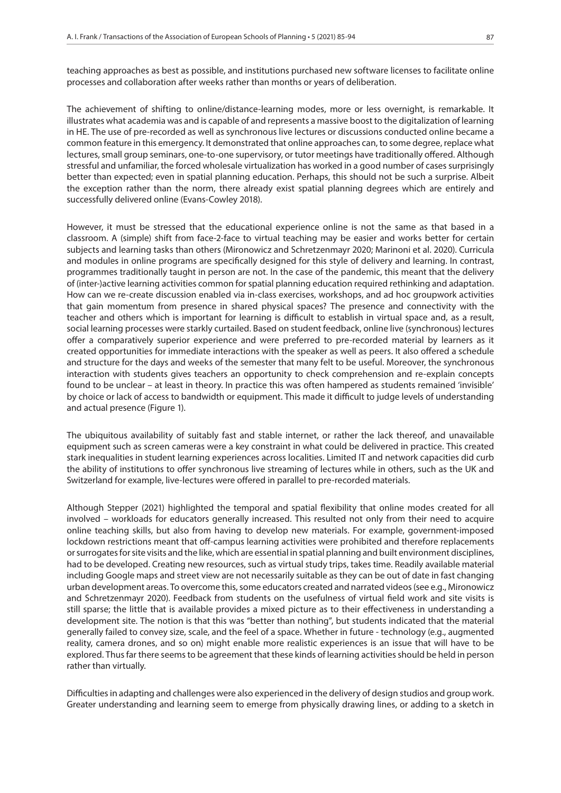teaching approaches as best as possible, and institutions purchased new software licenses to facilitate online processes and collaboration after weeks rather than months or years of deliberation.

The achievement of shifting to online/distance-learning modes, more or less overnight, is remarkable. It illustrates what academia was and is capable of and represents a massive boost to the digitalization of learning in HE. The use of pre-recorded as well as synchronous live lectures or discussions conducted online became a common feature in this emergency. It demonstrated that online approaches can, to some degree, replace what lectures, small group seminars, one-to-one supervisory, or tutor meetings have traditionally offered. Although stressful and unfamiliar, the forced wholesale virtualization has worked in a good number of cases surprisingly better than expected; even in spatial planning education. Perhaps, this should not be such a surprise. Albeit the exception rather than the norm, there already exist spatial planning degrees which are entirely and successfully delivered online (Evans-Cowley 2018).

However, it must be stressed that the educational experience online is not the same as that based in a classroom. A (simple) shift from face-2-face to virtual teaching may be easier and works better for certain subjects and learning tasks than others (Mironowicz and Schretzenmayr 2020; Marinoni et al. 2020). Curricula and modules in online programs are specifically designed for this style of delivery and learning. In contrast, programmes traditionally taught in person are not. In the case of the pandemic, this meant that the delivery of (inter-)active learning activities common for spatial planning education required rethinking and adaptation. How can we re-create discussion enabled via in-class exercises, workshops, and ad hoc groupwork activities that gain momentum from presence in shared physical spaces? The presence and connectivity with the teacher and others which is important for learning is difficult to establish in virtual space and, as a result, social learning processes were starkly curtailed. Based on student feedback, online live (synchronous) lectures offer a comparatively superior experience and were preferred to pre-recorded material by learners as it created opportunities for immediate interactions with the speaker as well as peers. It also offered a schedule and structure for the days and weeks of the semester that many felt to be useful. Moreover, the synchronous interaction with students gives teachers an opportunity to check comprehension and re-explain concepts found to be unclear – at least in theory. In practice this was often hampered as students remained 'invisible' by choice or lack of access to bandwidth or equipment. This made it difficult to judge levels of understanding and actual presence (Figure 1).

The ubiquitous availability of suitably fast and stable internet, or rather the lack thereof, and unavailable equipment such as screen cameras were a key constraint in what could be delivered in practice. This created stark inequalities in student learning experiences across localities. Limited IT and network capacities did curb the ability of institutions to offer synchronous live streaming of lectures while in others, such as the UK and Switzerland for example, live-lectures were offered in parallel to pre-recorded materials.

Although Stepper (2021) highlighted the temporal and spatial flexibility that online modes created for all involved – workloads for educators generally increased. This resulted not only from their need to acquire online teaching skills, but also from having to develop new materials. For example, government-imposed lockdown restrictions meant that off-campus learning activities were prohibited and therefore replacements or surrogates for site visits and the like, which are essential in spatial planning and built environment disciplines, had to be developed. Creating new resources, such as virtual study trips, takes time. Readily available material including Google maps and street view are not necessarily suitable as they can be out of date in fast changing urban development areas. To overcome this, some educators created and narrated videos (see e.g., Mironowicz and Schretzenmayr 2020). Feedback from students on the usefulness of virtual field work and site visits is still sparse; the little that is available provides a mixed picture as to their effectiveness in understanding a development site. The notion is that this was "better than nothing", but students indicated that the material generally failed to convey size, scale, and the feel of a space. Whether in future - technology (e.g., augmented reality, camera drones, and so on) might enable more realistic experiences is an issue that will have to be explored. Thus far there seems to be agreement that these kinds of learning activities should be held in person rather than virtually.

Difficulties in adapting and challenges were also experienced in the delivery of design studios and group work. Greater understanding and learning seem to emerge from physically drawing lines, or adding to a sketch in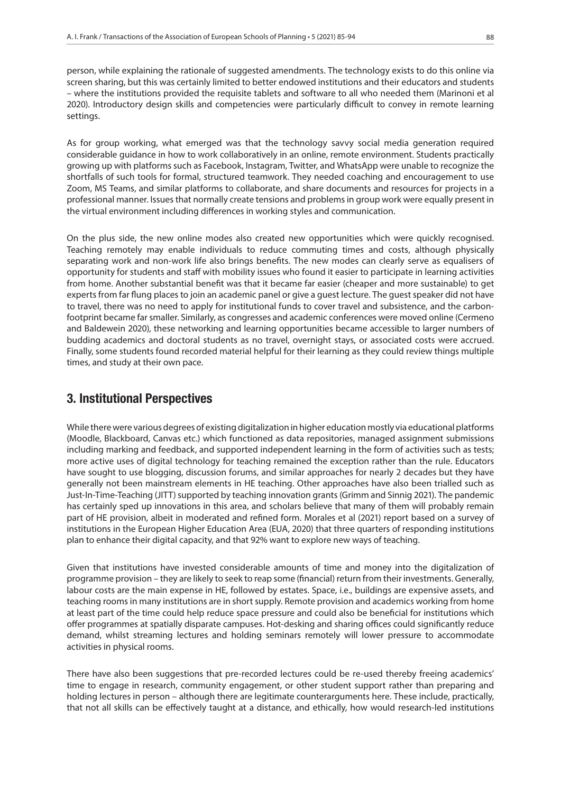person, while explaining the rationale of suggested amendments. The technology exists to do this online via screen sharing, but this was certainly limited to better endowed institutions and their educators and students – where the institutions provided the requisite tablets and software to all who needed them (Marinoni et al 2020). Introductory design skills and competencies were particularly difficult to convey in remote learning settings.

As for group working, what emerged was that the technology savvy social media generation required considerable guidance in how to work collaboratively in an online, remote environment. Students practically growing up with platforms such as Facebook, Instagram, Twitter, and WhatsApp were unable to recognize the shortfalls of such tools for formal, structured teamwork. They needed coaching and encouragement to use Zoom, MS Teams, and similar platforms to collaborate, and share documents and resources for projects in a professional manner. Issues that normally create tensions and problems in group work were equally present in the virtual environment including differences in working styles and communication.

On the plus side, the new online modes also created new opportunities which were quickly recognised. Teaching remotely may enable individuals to reduce commuting times and costs, although physically separating work and non-work life also brings benefits. The new modes can clearly serve as equalisers of opportunity for students and staff with mobility issues who found it easier to participate in learning activities from home. Another substantial benefit was that it became far easier (cheaper and more sustainable) to get experts from far flung places to join an academic panel or give a guest lecture. The guest speaker did not have to travel, there was no need to apply for institutional funds to cover travel and subsistence, and the carbonfootprint became far smaller. Similarly, as congresses and academic conferences were moved online (Cermeno and Baldewein 2020), these networking and learning opportunities became accessible to larger numbers of budding academics and doctoral students as no travel, overnight stays, or associated costs were accrued. Finally, some students found recorded material helpful for their learning as they could review things multiple times, and study at their own pace.

# 3. Institutional Perspectives

While there were various degrees of existing digitalization in higher education mostly via educational platforms (Moodle, Blackboard, Canvas etc.) which functioned as data repositories, managed assignment submissions including marking and feedback, and supported independent learning in the form of activities such as tests; more active uses of digital technology for teaching remained the exception rather than the rule. Educators have sought to use blogging, discussion forums, and similar approaches for nearly 2 decades but they have generally not been mainstream elements in HE teaching. Other approaches have also been trialled such as Just-In-Time-Teaching (JITT) supported by teaching innovation grants (Grimm and Sinnig 2021). The pandemic has certainly sped up innovations in this area, and scholars believe that many of them will probably remain part of HE provision, albeit in moderated and refined form. Morales et al (2021) report based on a survey of institutions in the European Higher Education Area (EUA, 2020) that three quarters of responding institutions plan to enhance their digital capacity, and that 92% want to explore new ways of teaching.

Given that institutions have invested considerable amounts of time and money into the digitalization of programme provision – they are likely to seek to reap some (financial) return from their investments. Generally, labour costs are the main expense in HE, followed by estates. Space, i.e., buildings are expensive assets, and teaching rooms in many institutions are in short supply. Remote provision and academics working from home at least part of the time could help reduce space pressure and could also be beneficial for institutions which offer programmes at spatially disparate campuses. Hot-desking and sharing offices could significantly reduce demand, whilst streaming lectures and holding seminars remotely will lower pressure to accommodate activities in physical rooms.

There have also been suggestions that pre-recorded lectures could be re-used thereby freeing academics' time to engage in research, community engagement, or other student support rather than preparing and holding lectures in person – although there are legitimate counterarguments here. These include, practically, that not all skills can be effectively taught at a distance, and ethically, how would research-led institutions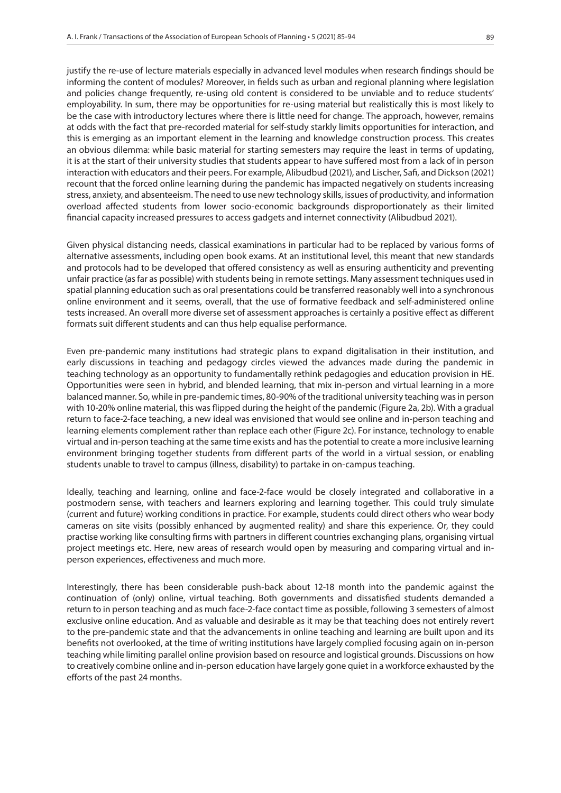justify the re-use of lecture materials especially in advanced level modules when research findings should be informing the content of modules? Moreover, in fields such as urban and regional planning where legislation and policies change frequently, re-using old content is considered to be unviable and to reduce students' employability. In sum, there may be opportunities for re-using material but realistically this is most likely to be the case with introductory lectures where there is little need for change. The approach, however, remains at odds with the fact that pre-recorded material for self-study starkly limits opportunities for interaction, and this is emerging as an important element in the learning and knowledge construction process. This creates an obvious dilemma: while basic material for starting semesters may require the least in terms of updating, it is at the start of their university studies that students appear to have suffered most from a lack of in person interaction with educators and their peers. For example, Alibudbud (2021), and Lischer, Safi, and Dickson (2021) recount that the forced online learning during the pandemic has impacted negatively on students increasing stress, anxiety, and absenteeism. The need to use new technology skills, issues of productivity, and information overload affected students from lower socio-economic backgrounds disproportionately as their limited financial capacity increased pressures to access gadgets and internet connectivity (Alibudbud 2021).

Given physical distancing needs, classical examinations in particular had to be replaced by various forms of alternative assessments, including open book exams. At an institutional level, this meant that new standards and protocols had to be developed that offered consistency as well as ensuring authenticity and preventing unfair practice (as far as possible) with students being in remote settings. Many assessment techniques used in spatial planning education such as oral presentations could be transferred reasonably well into a synchronous online environment and it seems, overall, that the use of formative feedback and self-administered online tests increased. An overall more diverse set of assessment approaches is certainly a positive effect as different formats suit different students and can thus help equalise performance.

Even pre-pandemic many institutions had strategic plans to expand digitalisation in their institution, and early discussions in teaching and pedagogy circles viewed the advances made during the pandemic in teaching technology as an opportunity to fundamentally rethink pedagogies and education provision in HE. Opportunities were seen in hybrid, and blended learning, that mix in-person and virtual learning in a more balanced manner. So, while in pre-pandemic times, 80-90% of the traditional university teaching was in person with 10-20% online material, this was flipped during the height of the pandemic (Figure 2a, 2b). With a gradual return to face-2-face teaching, a new ideal was envisioned that would see online and in-person teaching and learning elements complement rather than replace each other (Figure 2c). For instance, technology to enable virtual and in-person teaching at the same time exists and has the potential to create a more inclusive learning environment bringing together students from different parts of the world in a virtual session, or enabling students unable to travel to campus (illness, disability) to partake in on-campus teaching.

Ideally, teaching and learning, online and face-2-face would be closely integrated and collaborative in a postmodern sense, with teachers and learners exploring and learning together. This could truly simulate (current and future) working conditions in practice. For example, students could direct others who wear body cameras on site visits (possibly enhanced by augmented reality) and share this experience. Or, they could practise working like consulting firms with partners in different countries exchanging plans, organising virtual project meetings etc. Here, new areas of research would open by measuring and comparing virtual and inperson experiences, effectiveness and much more.

Interestingly, there has been considerable push-back about 12-18 month into the pandemic against the continuation of (only) online, virtual teaching. Both governments and dissatisfied students demanded a return to in person teaching and as much face-2-face contact time as possible, following 3 semesters of almost exclusive online education. And as valuable and desirable as it may be that teaching does not entirely revert to the pre-pandemic state and that the advancements in online teaching and learning are built upon and its benefits not overlooked, at the time of writing institutions have largely complied focusing again on in-person teaching while limiting parallel online provision based on resource and logistical grounds. Discussions on how to creatively combine online and in-person education have largely gone quiet in a workforce exhausted by the efforts of the past 24 months.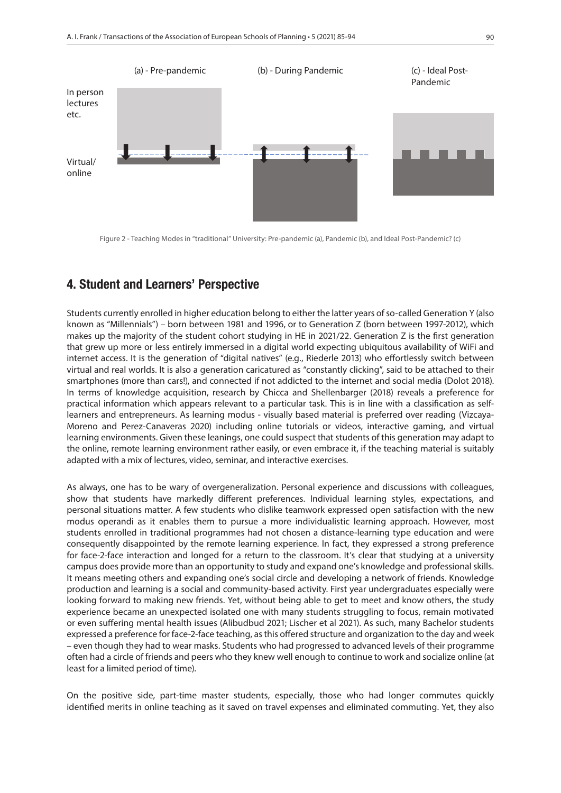

Figure 2 - Teaching Modes in "traditional" University: Pre-pandemic (a), Pandemic (b), and Ideal Post-Pandemic? (c)

# 4. Student and Learners' Perspective

Students currently enrolled in higher education belong to either the latter years of so-called Generation Y (also known as "Millennials") – born between 1981 and 1996, or to Generation Z (born between 1997-2012), which makes up the majority of the student cohort studying in HE in 2021/22. Generation Z is the first generation that grew up more or less entirely immersed in a digital world expecting ubiquitous availability of WiFi and internet access. It is the generation of "digital natives" (e.g., Riederle 2013) who effortlessly switch between virtual and real worlds. It is also a generation caricatured as "constantly clicking", said to be attached to their smartphones (more than cars!), and connected if not addicted to the internet and social media (Dolot 2018). In terms of knowledge acquisition, research by Chicca and Shellenbarger (2018) reveals a preference for practical information which appears relevant to a particular task. This is in line with a classification as selflearners and entrepreneurs. As learning modus - visually based material is preferred over reading (Vizcaya-Moreno and Perez-Canaveras 2020) including online tutorials or videos, interactive gaming, and virtual learning environments. Given these leanings, one could suspect that students of this generation may adapt to the online, remote learning environment rather easily, or even embrace it, if the teaching material is suitably adapted with a mix of lectures, video, seminar, and interactive exercises.

As always, one has to be wary of overgeneralization. Personal experience and discussions with colleagues, show that students have markedly different preferences. Individual learning styles, expectations, and personal situations matter. A few students who dislike teamwork expressed open satisfaction with the new modus operandi as it enables them to pursue a more individualistic learning approach. However, most students enrolled in traditional programmes had not chosen a distance-learning type education and were consequently disappointed by the remote learning experience. In fact, they expressed a strong preference for face-2-face interaction and longed for a return to the classroom. It's clear that studying at a university campus does provide more than an opportunity to study and expand one's knowledge and professional skills. It means meeting others and expanding one's social circle and developing a network of friends. Knowledge production and learning is a social and community-based activity. First year undergraduates especially were looking forward to making new friends. Yet, without being able to get to meet and know others, the study experience became an unexpected isolated one with many students struggling to focus, remain motivated or even suffering mental health issues (Alibudbud 2021; Lischer et al 2021). As such, many Bachelor students expressed a preference for face-2-face teaching, as this offered structure and organization to the day and week – even though they had to wear masks. Students who had progressed to advanced levels of their programme often had a circle of friends and peers who they knew well enough to continue to work and socialize online (at least for a limited period of time).

On the positive side, part-time master students, especially, those who had longer commutes quickly identified merits in online teaching as it saved on travel expenses and eliminated commuting. Yet, they also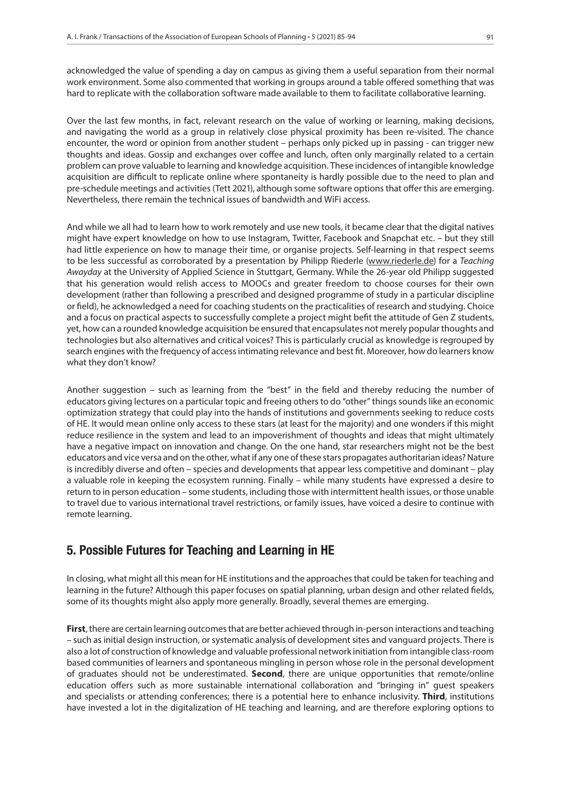acknowledged the value of spending a day on campus as giving them a useful separation from their normal work environment. Some also commented that working in groups around a table offered something that was hard to replicate with the collaboration software made available to them to facilitate collaborative learning.

Over the last few months, in fact, relevant research on the value of working or learning, making decisions, and navigating the world as a group in relatively close physical proximity has been re-visited. The chance encounter, the word or opinion from another student – perhaps only picked up in passing - can trigger new thoughts and ideas. Gossip and exchanges over coffee and lunch, often only marginally related to a certain problem can prove valuable to learning and knowledge acquisition. These incidences of intangible knowledge acquisition are difficult to replicate online where spontaneity is hardly possible due to the need to plan and pre-schedule meetings and activities (Tett 2021), although some software options that offer this are emerging. Nevertheless, there remain the technical issues of bandwidth and WiFi access.

And while we all had to learn how to work remotely and use new tools, it became clear that the digital natives might have expert knowledge on how to use Instagram, Twitter, Facebook and Snapchat etc. – but they still had little experience on how to manage their time, or organise projects. Self-learning in that respect seems to be less successful as corroborated by a presentation by Philipp Riederle (www.riederle.de) for a *Teaching Awayday* at the University of Applied Science in Stuttgart, Germany. While the 26-year old Philipp suggested that his generation would relish access to MOOCs and greater freedom to choose courses for their own development (rather than following a prescribed and designed programme of study in a particular discipline or field), he acknowledged a need for coaching students on the practicalities of research and studying. Choice and a focus on practical aspects to successfully complete a project might befit the attitude of Gen Z students, yet, how can a rounded knowledge acquisition be ensured that encapsulates not merely popular thoughts and technologies but also alternatives and critical voices? This is particularly crucial as knowledge is regrouped by search engines with the frequency of access intimating relevance and best fit. Moreover, how do learners know what they don't know?

Another suggestion – such as learning from the "best" in the field and thereby reducing the number of educators giving lectures on a particular topic and freeing others to do "other" things sounds like an economic optimization strategy that could play into the hands of institutions and governments seeking to reduce costs of HE. It would mean online only access to these stars (at least for the majority) and one wonders if this might reduce resilience in the system and lead to an impoverishment of thoughts and ideas that might ultimately have a negative impact on innovation and change. On the one hand, star researchers might not be the best educators and vice versa and on the other, what if any one of these stars propagates authoritarian ideas? Nature is incredibly diverse and often – species and developments that appear less competitive and dominant – play a valuable role in keeping the ecosystem running. Finally – while many students have expressed a desire to return to in person education – some students, including those with intermittent health issues, or those unable to travel due to various international travel restrictions, or family issues, have voiced a desire to continue with remote learning.

# 5. Possible Futures for Teaching and Learning in HE

In closing, what might all this mean for HE institutions and the approaches that could be taken for teaching and learning in the future? Although this paper focuses on spatial planning, urban design and other related fields, some of its thoughts might also apply more generally. Broadly, several themes are emerging.

**First**, there are certain learning outcomes that are better achieved through in-person interactions and teaching – such as initial design instruction, or systematic analysis of development sites and vanguard projects. There is also a lot of construction of knowledge and valuable professional network initiation from intangible class-room based communities of learners and spontaneous mingling in person whose role in the personal development of graduates should not be underestimated. **Second**, there are unique opportunities that remote/online education offers such as more sustainable international collaboration and "bringing in" guest speakers and specialists or attending conferences; there is a potential here to enhance inclusivity. **Third**, institutions have invested a lot in the digitalization of HE teaching and learning, and are therefore exploring options to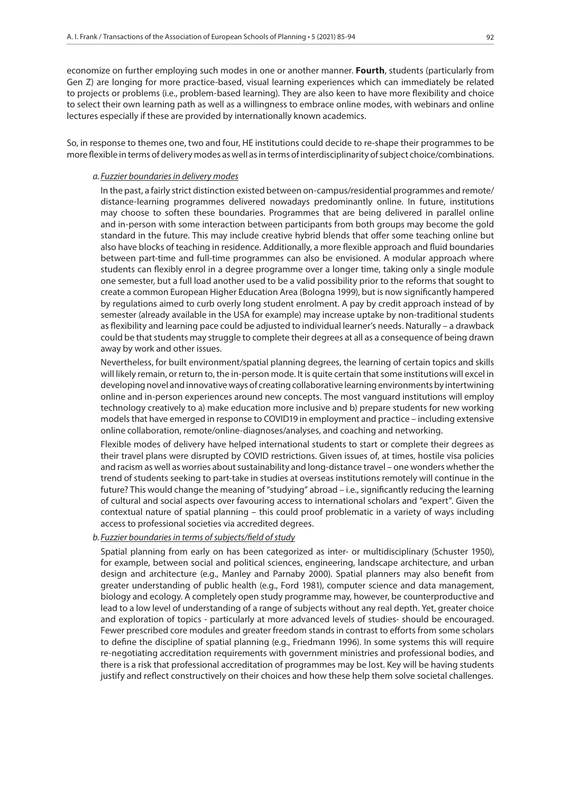economize on further employing such modes in one or another manner. **Fourth**, students (particularly from Gen Z) are longing for more practice-based, visual learning experiences which can immediately be related to projects or problems (i.e., problem-based learning). They are also keen to have more flexibility and choice to select their own learning path as well as a willingness to embrace online modes, with webinars and online lectures especially if these are provided by internationally known academics.

So, in response to themes one, two and four, HE institutions could decide to re-shape their programmes to be more flexible in terms of delivery modes as well as in terms of interdisciplinarity of subject choice/combinations.

#### *a.Fuzzier boundaries in delivery modes*

In the past, a fairly strict distinction existed between on-campus/residential programmes and remote/ distance-learning programmes delivered nowadays predominantly online. In future, institutions may choose to soften these boundaries. Programmes that are being delivered in parallel online and in-person with some interaction between participants from both groups may become the gold standard in the future. This may include creative hybrid blends that offer some teaching online but also have blocks of teaching in residence. Additionally, a more flexible approach and fluid boundaries between part-time and full-time programmes can also be envisioned. A modular approach where students can flexibly enrol in a degree programme over a longer time, taking only a single module one semester, but a full load another used to be a valid possibility prior to the reforms that sought to create a common European Higher Education Area (Bologna 1999), but is now significantly hampered by regulations aimed to curb overly long student enrolment. A pay by credit approach instead of by semester (already available in the USA for example) may increase uptake by non-traditional students as flexibility and learning pace could be adjusted to individual learner's needs. Naturally – a drawback could be that students may struggle to complete their degrees at all as a consequence of being drawn away by work and other issues.

Nevertheless, for built environment/spatial planning degrees, the learning of certain topics and skills will likely remain, or return to, the in-person mode. It is quite certain that some institutions will excel in developing novel and innovative ways of creating collaborative learning environments by intertwining online and in-person experiences around new concepts. The most vanguard institutions will employ technology creatively to a) make education more inclusive and b) prepare students for new working models that have emerged in response to COVID19 in employment and practice – including extensive online collaboration, remote/online-diagnoses/analyses, and coaching and networking.

Flexible modes of delivery have helped international students to start or complete their degrees as their travel plans were disrupted by COVID restrictions. Given issues of, at times, hostile visa policies and racism as well as worries about sustainability and long-distance travel – one wonders whether the trend of students seeking to part-take in studies at overseas institutions remotely will continue in the future? This would change the meaning of "studying" abroad – i.e., significantly reducing the learning of cultural and social aspects over favouring access to international scholars and "expert". Given the contextual nature of spatial planning – this could proof problematic in a variety of ways including access to professional societies via accredited degrees.

### *b. Fuzzier boundaries in terms of subjects/field of study*

Spatial planning from early on has been categorized as inter- or multidisciplinary (Schuster 1950), for example, between social and political sciences, engineering, landscape architecture, and urban design and architecture (e.g., Manley and Parnaby 2000). Spatial planners may also benefit from greater understanding of public health (e.g., Ford 1981), computer science and data management, biology and ecology. A completely open study programme may, however, be counterproductive and lead to a low level of understanding of a range of subjects without any real depth. Yet, greater choice and exploration of topics - particularly at more advanced levels of studies- should be encouraged. Fewer prescribed core modules and greater freedom stands in contrast to efforts from some scholars to define the discipline of spatial planning (e.g., Friedmann 1996). In some systems this will require re-negotiating accreditation requirements with government ministries and professional bodies, and there is a risk that professional accreditation of programmes may be lost. Key will be having students justify and reflect constructively on their choices and how these help them solve societal challenges.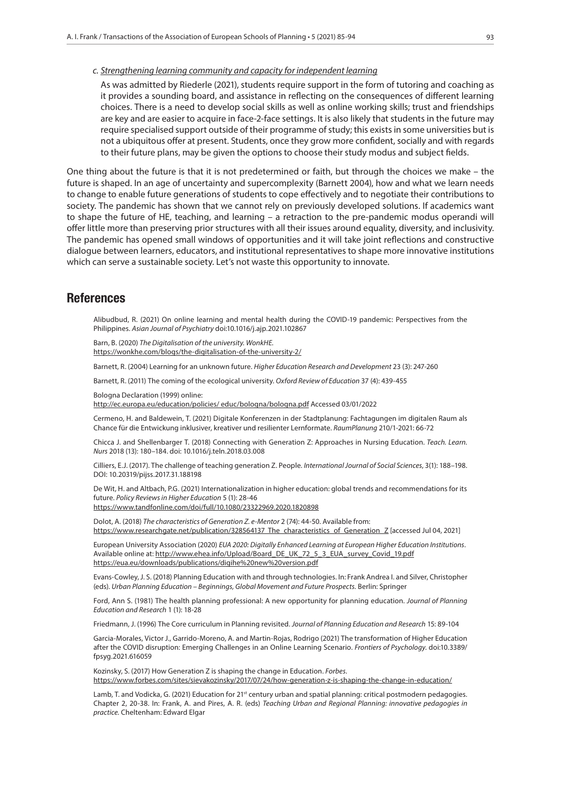## *c. Strengthening learning community and capacity for independent learning*

As was admitted by Riederle (2021), students require support in the form of tutoring and coaching as it provides a sounding board, and assistance in reflecting on the consequences of different learning choices. There is a need to develop social skills as well as online working skills; trust and friendships are key and are easier to acquire in face-2-face settings. It is also likely that students in the future may require specialised support outside of their programme of study; this exists in some universities but is not a ubiquitous offer at present. Students, once they grow more confident, socially and with regards to their future plans, may be given the options to choose their study modus and subject fields.

One thing about the future is that it is not predetermined or faith, but through the choices we make – the future is shaped. In an age of uncertainty and supercomplexity (Barnett 2004), how and what we learn needs to change to enable future generations of students to cope effectively and to negotiate their contributions to society. The pandemic has shown that we cannot rely on previously developed solutions. If academics want to shape the future of HE, teaching, and learning – a retraction to the pre-pandemic modus operandi will offer little more than preserving prior structures with all their issues around equality, diversity, and inclusivity. The pandemic has opened small windows of opportunities and it will take joint reflections and constructive dialogue between learners, educators, and institutional representatives to shape more innovative institutions which can serve a sustainable society. Let's not waste this opportunity to innovate.

## **References**

Alibudbud, R. (2021) On online learning and mental health during the COVID-19 pandemic: Perspectives from the Philippines. *Asian Journal of Psychiatry* doi:10.1016/j.ajp.2021.102867

Barn, B. (2020) *The Digitalisation of the university. WonkHE.* https://wonkhe.com/blogs/the-digitalisation-of-the-university-2/

Barnett, R. (2004) Learning for an unknown future. *Higher Education Research and Development* 23 (3): 247-260

Barnett, R. (2011) The coming of the ecological university. *Oxford Review of Education* 37 (4): 439-455

Bologna Declaration (1999) online:

http://ec.europa.eu/education/policies/ educ/bologna/bologna.pdf Accessed 03/01/2022

Cermeno, H. and Baldewein, T. (2021) Digitale Konferenzen in der Stadtplanung: Fachtagungen im digitalen Raum als Chance für die Entwickung inklusiver, kreativer und resilienter Lernformate. *RaumPlanung* 210/1-2021: 66-72

Chicca J. and Shellenbarger T. (2018) Connecting with Generation Z: Approaches in Nursing Education. *Teach. Learn. Nurs* 2018 (13): 180–184. doi: 10.1016/j.teln.2018.03.008

Cilliers, E.J. (2017). The challenge of teaching generation Z. People. *International Journal of Social Sciences*, 3(1): 188–198. DOI: 10.20319/pijss.2017.31.188198

De Wit, H. and Altbach, P.G. (2021) Internationalization in higher education: global trends and recommendations for its future. *Policy Reviews in Higher Education* 5 (1): 28-46 https://www.tandfonline.com/doi/full/10.1080/23322969.2020.1820898

Dolot, A. (2018) *The characteristics of Generation Z. e-Mentor* 2 (74): 44-50. Available from: https://www.researchgate.net/publication/328564137\_The\_characteristics\_of\_Generation\_Z [accessed Jul 04, 2021]

European University Association (2020) *EUA 2020: Digitally Enhanced Learning at European Higher Education Institutions*. Available online at: http://www.ehea.info/Upload/Board\_DE\_UK\_72\_5\_3\_EUA\_survey\_Covid\_19.pdf https://eua.eu/downloads/publications/digihe%20new%20version.pdf

Evans-Cowley, J. S. (2018) Planning Education with and through technologies. In: Frank Andrea I. and Silver, Christopher (eds). *Urban Planning Education – Beginnings, Global Movement and Future Prospects.* Berlin: Springer

Ford, Ann S. (1981) The health planning professional: A new opportunity for planning education. *Journal of Planning Education and Research* 1 (1): 18-28

Friedmann, J. (1996) The Core curriculum in Planning revisited. *Journal of Planning Education and Research* 15: 89-104

Garcia-Morales, Victor J., Garrido-Moreno, A. and Martin-Rojas, Rodrigo (2021) The transformation of Higher Education after the COVID disruption: Emerging Challenges in an Online Learning Scenario. *Frontiers of Psychology*. doi:10.3389/ fpsyg.2021.616059

Kozinsky, S. (2017) How Generation Z is shaping the change in Education. *Forbes*. https://www.forbes.com/sites/sievakozinsky/2017/07/24/how-generation-z-is-shaping-the-change-in-education/

Lamb, T. and Vodicka, G. (2021) Education for 21<sup>st</sup> century urban and spatial planning: critical postmodern pedagogies. Chapter 2, 20-38. In: Frank, A. and Pires, A. R. (eds) *Teaching Urban and Regional Planning: innovative pedagogies in practice.* Cheltenham: Edward Elgar